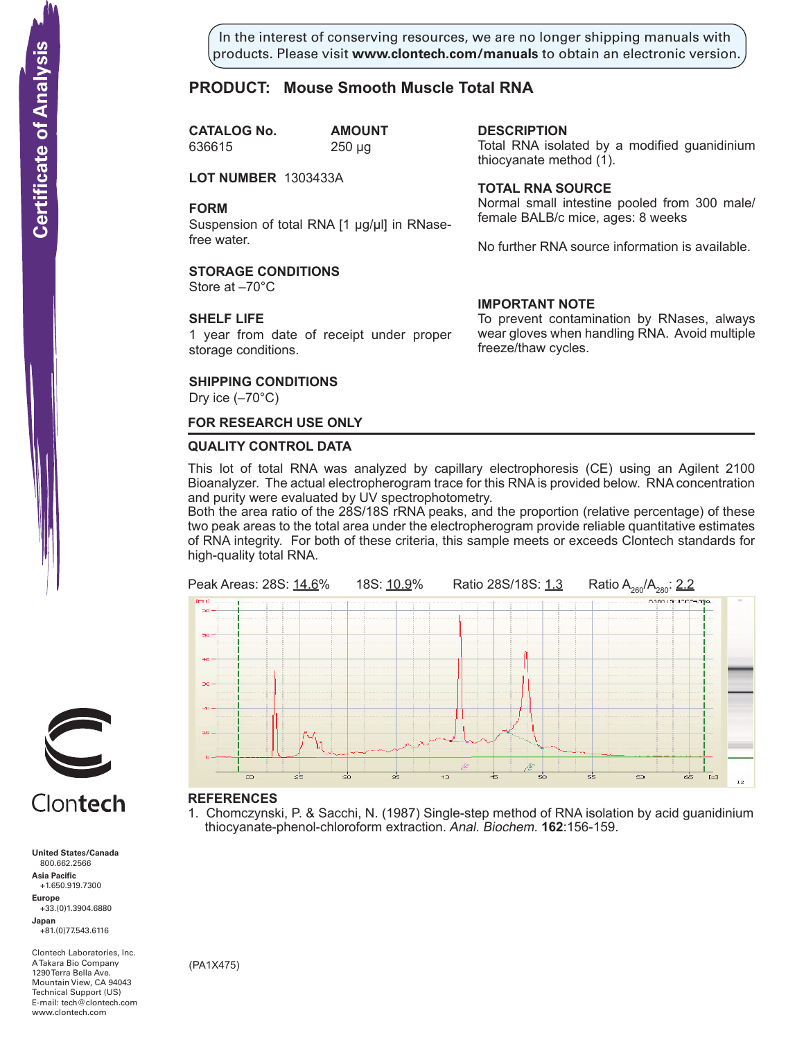In the interest of conserving resources, we are no longer shipping manuals with products. Please visit **www.clontech.com/manuals** to obtain an electronic version.

**description**

thiocyanate method  $(1)$ .

**Total RNA source**

**IMPORTANT NOTE**

freeze/thaw cycles.

Total RNA isolated by a modified guanidinium

Normal small intestine pooled from 300 male/

No further RNA source information is available.

To prevent contamination by RNases, always wear gloves when handling RNA. Avoid multiple

female BALB/c mice, ages: 8 weeks

## **PRODUCT: Mouse Smooth Muscle Total RNA**

**CATALOG No. AMOUNT** 636615 250 µg

**LOT NUMBER** 1303433A

#### **FORM**

Suspension of total RNA [1 µg/µl] in RNasefree water.

#### **STORAGE CONDITIONS**

Store at –70°C

#### **SHELF LIFE**

1 year from date of receipt under proper storage conditions.

#### **SHIPPING CONDITIONS**

Dry ice  $(-70^{\circ}C)$ 

# **FOR RESEARCH USE ONLY**

#### **QUALITY CONTROL DATA**

This lot of total RNA was analyzed by capillary electrophoresis (CE) using an Agilent 2100 Bioanalyzer. The actual electropherogram trace for this RNA is provided below. RNA concentration and purity were evaluated by UV spectrophotometry.

Both the area ratio of the 28S/18S rRNA peaks, and the proportion (relative percentage) of these two peak areas to the total area under the electropherogram provide reliable quantitative estimates of RNA integrity. For both of these criteria, this sample meets or exceeds Clontech standards for high-quality total RNA.



#### **References**

1. Chomczynski, P. & Sacchi, N. (1987) Single-step method of RNA isolation by acid guanidinium thiocyanate-phenol-chloroform extraction. Anal. Biochem. **162**:156-159.



# Clontech

**United States/Canada** 800.662.2566 **Asia Pacific** +1.650.919.7300 **Europe** +33.(0)1.3904.6880 **Japan** +81.(0)77.543.6116 **Solution Control Control Control Control Control Control Control Control Control Control Control Control Control Control Control Control Control Control Control Control Control Control Control Control Control Control Cont** 

Clontech Laboratories, Inc. A Takara Bio Company 1290 Terra Bella Ave. Mountain View, CA 94043 Technical Support (US) E-mail: tech@clontech.com<br>www.clontech.com

(PA1X475)